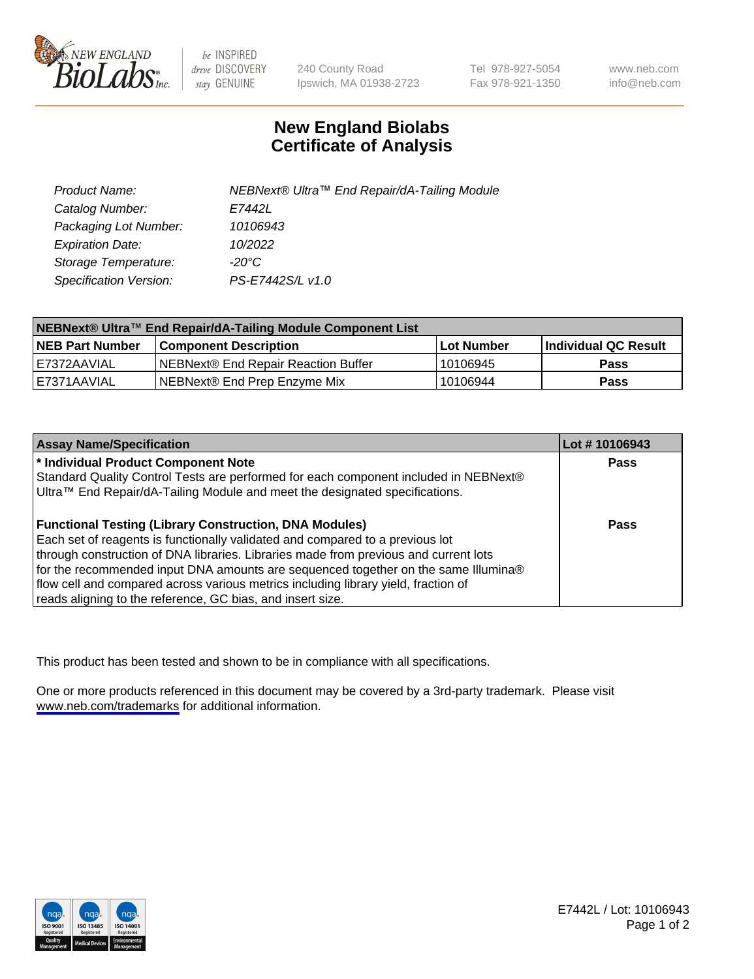

be INSPIRED drive DISCOVERY stay GENUINE

240 County Road Ipswich, MA 01938-2723 Tel 978-927-5054 Fax 978-921-1350

www.neb.com info@neb.com

## **New England Biolabs Certificate of Analysis**

| Product Name:           | NEBNext® Ultra™ End Repair/dA-Tailing Module |
|-------------------------|----------------------------------------------|
| Catalog Number:         | E7442L                                       |
| Packaging Lot Number:   | 10106943                                     |
| <b>Expiration Date:</b> | 10/2022                                      |
| Storage Temperature:    | -20°C                                        |
| Specification Version:  | PS-E7442S/L v1.0                             |

| NEBNext® Ultra™ End Repair/dA-Tailing Module Component List |                                     |            |                             |  |
|-------------------------------------------------------------|-------------------------------------|------------|-----------------------------|--|
| <b>NEB Part Number</b>                                      | <b>Component Description</b>        | Lot Number | <b>Individual QC Result</b> |  |
| LE7372AAVIAL                                                | NEBNext® End Repair Reaction Buffer | 10106945   | <b>Pass</b>                 |  |
| I E7371AAVIAL                                               | NEBNext® End Prep Enzyme Mix        | 10106944   | <b>Pass</b>                 |  |

| <b>Assay Name/Specification</b>                                                      | Lot #10106943 |
|--------------------------------------------------------------------------------------|---------------|
| * Individual Product Component Note                                                  | <b>Pass</b>   |
| Standard Quality Control Tests are performed for each component included in NEBNext® |               |
| Ultra™ End Repair/dA-Tailing Module and meet the designated specifications.          |               |
| <b>Functional Testing (Library Construction, DNA Modules)</b>                        | <b>Pass</b>   |
| Each set of reagents is functionally validated and compared to a previous lot        |               |
| through construction of DNA libraries. Libraries made from previous and current lots |               |
| for the recommended input DNA amounts are sequenced together on the same Illumina®   |               |
| flow cell and compared across various metrics including library yield, fraction of   |               |
| reads aligning to the reference, GC bias, and insert size.                           |               |

This product has been tested and shown to be in compliance with all specifications.

One or more products referenced in this document may be covered by a 3rd-party trademark. Please visit <www.neb.com/trademarks>for additional information.